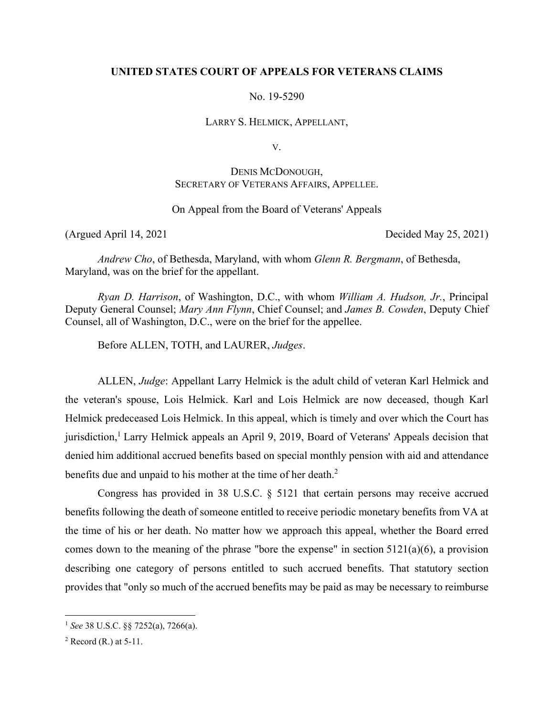# **UNITED STATES COURT OF APPEALS FOR VETERANS CLAIMS**

No. 19-5290

LARRY S. HELMICK, APPELLANT,

V.

# DENIS MCDONOUGH, SECRETARY OF VETERANS AFFAIRS, APPELLEE.

# On Appeal from the Board of Veterans' Appeals

(Argued April 14, 2021 Decided May 25, 2021)

*Andrew Cho*, of Bethesda, Maryland, with whom *Glenn R. Bergmann*, of Bethesda, Maryland, was on the brief for the appellant.

*Ryan D. Harrison*, of Washington, D.C., with whom *William A. Hudson, Jr.*, Principal Deputy General Counsel; *Mary Ann Flynn*, Chief Counsel; and *James B. Cowden*, Deputy Chief Counsel, all of Washington, D.C., were on the brief for the appellee.

Before ALLEN, TOTH, and LAURER, *Judges*.

ALLEN, *Judge*: Appellant Larry Helmick is the adult child of veteran Karl Helmick and the veteran's spouse, Lois Helmick. Karl and Lois Helmick are now deceased, though Karl Helmick predeceased Lois Helmick. In this appeal, which is timely and over which the Court has jurisdiction,<sup>1</sup> Larry Helmick appeals an April 9, 2019, Board of Veterans' Appeals decision that denied him additional accrued benefits based on special monthly pension with aid and attendance benefits due and unpaid to his mother at the time of her death.<sup>2</sup>

Congress has provided in 38 U.S.C. § 5121 that certain persons may receive accrued benefits following the death of someone entitled to receive periodic monetary benefits from VA at the time of his or her death. No matter how we approach this appeal, whether the Board erred comes down to the meaning of the phrase "bore the expense" in section 5121(a)(6), a provision describing one category of persons entitled to such accrued benefits. That statutory section provides that "only so much of the accrued benefits may be paid as may be necessary to reimburse

<sup>1</sup> *See* 38 U.S.C. §§ 7252(a), 7266(a).

 $<sup>2</sup>$  Record (R.) at 5-11.</sup>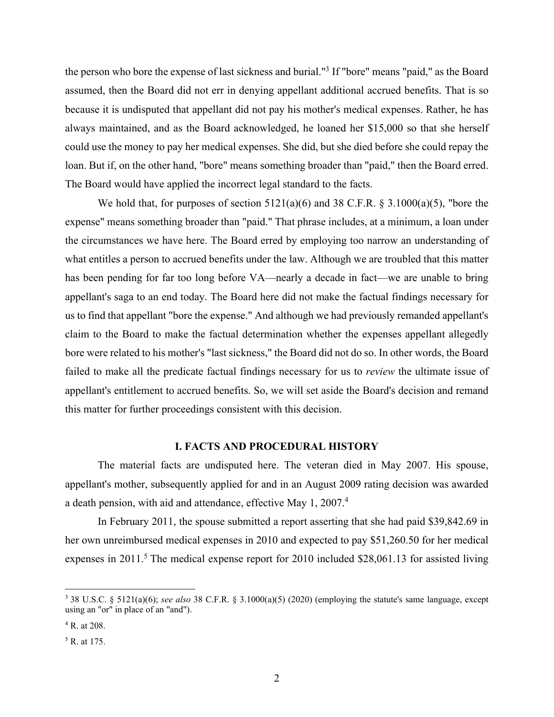the person who bore the expense of last sickness and burial."<sup>3</sup> If "bore" means "paid," as the Board assumed, then the Board did not err in denying appellant additional accrued benefits. That is so because it is undisputed that appellant did not pay his mother's medical expenses. Rather, he has always maintained, and as the Board acknowledged, he loaned her \$15,000 so that she herself could use the money to pay her medical expenses. She did, but she died before she could repay the loan. But if, on the other hand, "bore" means something broader than "paid," then the Board erred. The Board would have applied the incorrect legal standard to the facts.

We hold that, for purposes of section  $5121(a)(6)$  and 38 C.F.R. § 3.1000(a)(5), "bore the expense" means something broader than "paid." That phrase includes, at a minimum, a loan under the circumstances we have here. The Board erred by employing too narrow an understanding of what entitles a person to accrued benefits under the law. Although we are troubled that this matter has been pending for far too long before VA—nearly a decade in fact—we are unable to bring appellant's saga to an end today. The Board here did not make the factual findings necessary for us to find that appellant "bore the expense." And although we had previously remanded appellant's claim to the Board to make the factual determination whether the expenses appellant allegedly bore were related to his mother's "last sickness," the Board did not do so. In other words, the Board failed to make all the predicate factual findings necessary for us to *review* the ultimate issue of appellant's entitlement to accrued benefits. So, we will set aside the Board's decision and remand this matter for further proceedings consistent with this decision.

#### **I. FACTS AND PROCEDURAL HISTORY**

The material facts are undisputed here. The veteran died in May 2007. His spouse, appellant's mother, subsequently applied for and in an August 2009 rating decision was awarded a death pension, with aid and attendance, effective May 1, 2007.<sup>4</sup>

In February 2011, the spouse submitted a report asserting that she had paid \$39,842.69 in her own unreimbursed medical expenses in 2010 and expected to pay \$51,260.50 for her medical expenses in 2011.<sup>5</sup> The medical expense report for 2010 included \$28,061.13 for assisted living

<sup>3</sup> 38 U.S.C. § 5121(a)(6); *see also* 38 C.F.R. § 3.1000(a)(5) (2020) (employing the statute's same language, except using an "or" in place of an "and").

<sup>4</sup> R. at 208.

<sup>5</sup> R. at 175.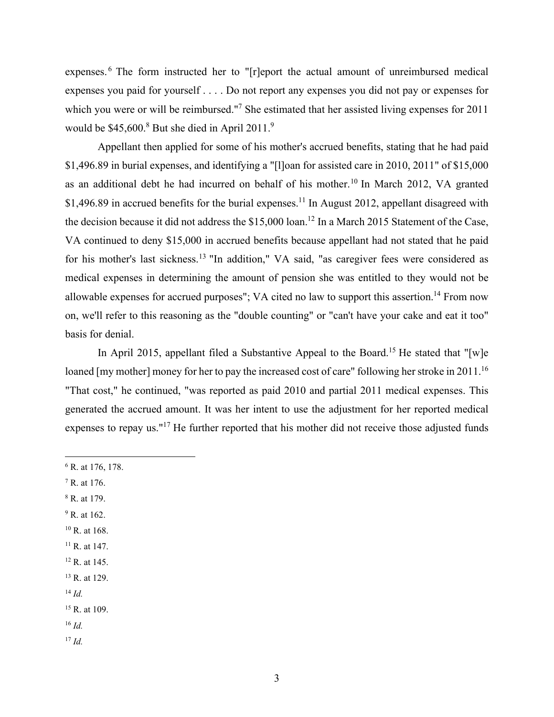expenses. 6 The form instructed her to "[r]eport the actual amount of unreimbursed medical expenses you paid for yourself . . . . Do not report any expenses you did not pay or expenses for which you were or will be reimbursed."<sup>7</sup> She estimated that her assisted living expenses for 2011 would be  $$45,600$ .<sup>8</sup> But she died in April 2011.<sup>9</sup>

Appellant then applied for some of his mother's accrued benefits, stating that he had paid \$1,496.89 in burial expenses, and identifying a "[l]oan for assisted care in 2010, 2011" of \$15,000 as an additional debt he had incurred on behalf of his mother.10 In March 2012, VA granted \$1,496.89 in accrued benefits for the burial expenses.<sup>11</sup> In August 2012, appellant disagreed with the decision because it did not address the \$15,000 loan.<sup>12</sup> In a March 2015 Statement of the Case, VA continued to deny \$15,000 in accrued benefits because appellant had not stated that he paid for his mother's last sickness.13 "In addition," VA said, "as caregiver fees were considered as medical expenses in determining the amount of pension she was entitled to they would not be allowable expenses for accrued purposes"; VA cited no law to support this assertion.<sup>14</sup> From now on, we'll refer to this reasoning as the "double counting" or "can't have your cake and eat it too" basis for denial.

In April 2015, appellant filed a Substantive Appeal to the Board.<sup>15</sup> He stated that "[w]e loaned [my mother] money for her to pay the increased cost of care" following her stroke in 2011.<sup>16</sup> "That cost," he continued, "was reported as paid 2010 and partial 2011 medical expenses. This generated the accrued amount. It was her intent to use the adjustment for her reported medical expenses to repay us."17 He further reported that his mother did not receive those adjusted funds

- 6 R. at 176, 178.
- 7 R. at 176.
- 8 R. at 179.
- <sup>9</sup> R. at 162.
- $10$  R. at 168.
- <sup>11</sup> R. at 147.
- 12 R. at 145.
- 13 R. at 129.
- <sup>14</sup> *Id.*
- $15$  R, at 109.
- $16$  *Id.*
- $17$  *Id.*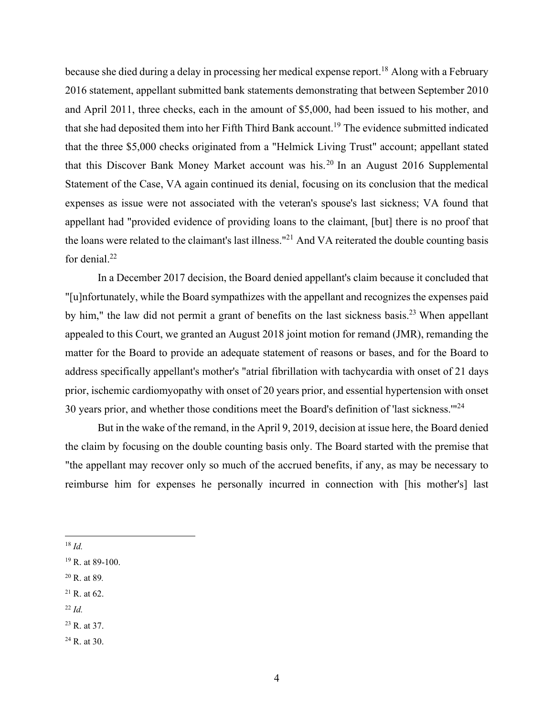because she died during a delay in processing her medical expense report.<sup>18</sup> Along with a February 2016 statement, appellant submitted bank statements demonstrating that between September 2010 and April 2011, three checks, each in the amount of \$5,000, had been issued to his mother, and that she had deposited them into her Fifth Third Bank account.19 The evidence submitted indicated that the three \$5,000 checks originated from a "Helmick Living Trust" account; appellant stated that this Discover Bank Money Market account was his.20 In an August 2016 Supplemental Statement of the Case, VA again continued its denial, focusing on its conclusion that the medical expenses as issue were not associated with the veteran's spouse's last sickness; VA found that appellant had "provided evidence of providing loans to the claimant, [but] there is no proof that the loans were related to the claimant's last illness."21 And VA reiterated the double counting basis for denial.<sup>22</sup>

In a December 2017 decision, the Board denied appellant's claim because it concluded that "[u]nfortunately, while the Board sympathizes with the appellant and recognizes the expenses paid by him," the law did not permit a grant of benefits on the last sickness basis.<sup>23</sup> When appellant appealed to this Court, we granted an August 2018 joint motion for remand (JMR), remanding the matter for the Board to provide an adequate statement of reasons or bases, and for the Board to address specifically appellant's mother's "atrial fibrillation with tachycardia with onset of 21 days prior, ischemic cardiomyopathy with onset of 20 years prior, and essential hypertension with onset 30 years prior, and whether those conditions meet the Board's definition of 'last sickness.'"24

But in the wake of the remand, in the April 9, 2019, decision at issue here, the Board denied the claim by focusing on the double counting basis only. The Board started with the premise that "the appellant may recover only so much of the accrued benefits, if any, as may be necessary to reimburse him for expenses he personally incurred in connection with [his mother's] last

- $21$  R. at 62.
- $22$  *Id.*

<sup>18</sup> *Id.* 

 $19$  R. at 89-100.

<sup>20</sup> R. at 89*.* 

 $^{23}$  R. at 37.

<sup>24</sup> R. at 30.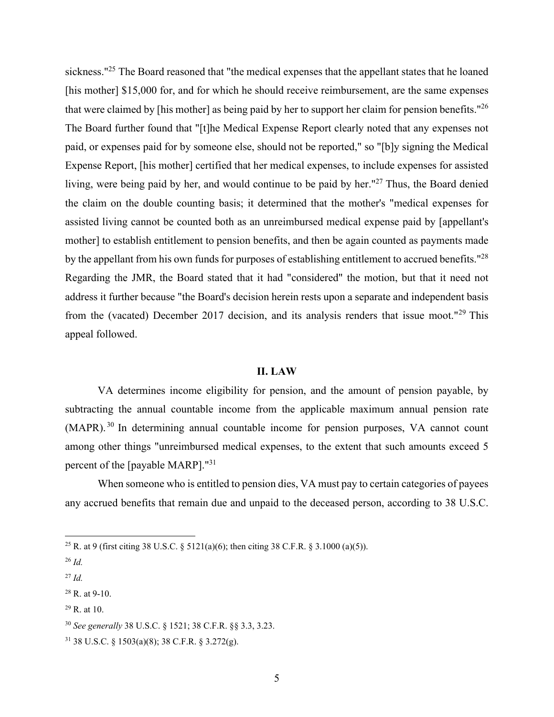sickness."<sup>25</sup> The Board reasoned that "the medical expenses that the appellant states that he loaned [his mother] \$15,000 for, and for which he should receive reimbursement, are the same expenses that were claimed by [his mother] as being paid by her to support her claim for pension benefits."<sup>26</sup> The Board further found that "[t]he Medical Expense Report clearly noted that any expenses not paid, or expenses paid for by someone else, should not be reported," so "[b]y signing the Medical Expense Report, [his mother] certified that her medical expenses, to include expenses for assisted living, were being paid by her, and would continue to be paid by her."<sup>27</sup> Thus, the Board denied the claim on the double counting basis; it determined that the mother's "medical expenses for assisted living cannot be counted both as an unreimbursed medical expense paid by [appellant's mother] to establish entitlement to pension benefits, and then be again counted as payments made by the appellant from his own funds for purposes of establishing entitlement to accrued benefits."<sup>28</sup> Regarding the JMR, the Board stated that it had "considered" the motion, but that it need not address it further because "the Board's decision herein rests upon a separate and independent basis from the (vacated) December 2017 decision, and its analysis renders that issue moot."29 This appeal followed.

#### **II. LAW**

VA determines income eligibility for pension, and the amount of pension payable, by subtracting the annual countable income from the applicable maximum annual pension rate (MAPR). 30 In determining annual countable income for pension purposes, VA cannot count among other things "unreimbursed medical expenses, to the extent that such amounts exceed 5 percent of the [payable MARP]."31

When someone who is entitled to pension dies, VA must pay to certain categories of payees any accrued benefits that remain due and unpaid to the deceased person, according to 38 U.S.C.

 $^{29}$  R. at 10.

<sup>&</sup>lt;sup>25</sup> R. at 9 (first citing 38 U.S.C. § 5121(a)(6); then citing 38 C.F.R. § 3.1000 (a)(5)).

<sup>26</sup> *Id.*

 $^{27}$  *Id.* 

<sup>28</sup> R. at 9-10.

<sup>30</sup> *See generally* 38 U.S.C. § 1521; 38 C.F.R. §§ 3.3, 3.23.

<sup>31 38</sup> U.S.C. § 1503(a)(8); 38 C.F.R. § 3.272(g).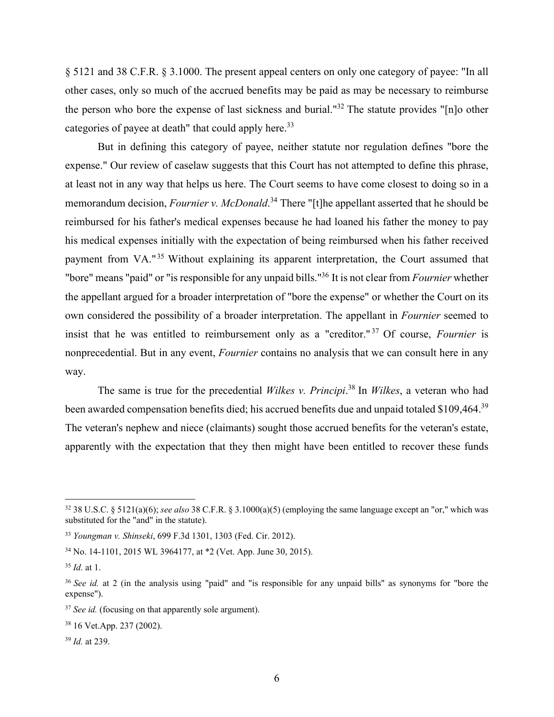§ 5121 and 38 C.F.R. § 3.1000. The present appeal centers on only one category of payee: "In all other cases, only so much of the accrued benefits may be paid as may be necessary to reimburse the person who bore the expense of last sickness and burial."32 The statute provides "[n]o other categories of payee at death" that could apply here.<sup>33</sup>

But in defining this category of payee, neither statute nor regulation defines "bore the expense." Our review of caselaw suggests that this Court has not attempted to define this phrase, at least not in any way that helps us here. The Court seems to have come closest to doing so in a memorandum decision, *Fournier v. McDonald*. 34 There "[t]he appellant asserted that he should be reimbursed for his father's medical expenses because he had loaned his father the money to pay his medical expenses initially with the expectation of being reimbursed when his father received payment from VA."35 Without explaining its apparent interpretation, the Court assumed that "bore" means "paid" or "is responsible for any unpaid bills."36 It is not clear from *Fournier* whether the appellant argued for a broader interpretation of "bore the expense" or whether the Court on its own considered the possibility of a broader interpretation. The appellant in *Fournier* seemed to insist that he was entitled to reimbursement only as a "creditor." 37 Of course, *Fournier* is nonprecedential. But in any event, *Fournier* contains no analysis that we can consult here in any way.

The same is true for the precedential *Wilkes v. Principi*. 38 In *Wilkes*, a veteran who had been awarded compensation benefits died; his accrued benefits due and unpaid totaled \$109,464.39 The veteran's nephew and niece (claimants) sought those accrued benefits for the veteran's estate, apparently with the expectation that they then might have been entitled to recover these funds

<sup>32 38</sup> U.S.C. § 5121(a)(6); *see also* 38 C.F.R. § 3.1000(a)(5) (employing the same language except an "or," which was substituted for the "and" in the statute).

<sup>33</sup> *Youngman v. Shinseki*, 699 F.3d 1301, 1303 (Fed. Cir. 2012).

<sup>34</sup> No. 14-1101, 2015 WL 3964177, at \*2 (Vet. App. June 30, 2015).

<sup>35</sup> *Id.* at 1.

<sup>36</sup> *See id.* at 2 (in the analysis using "paid" and "is responsible for any unpaid bills" as synonyms for "bore the expense").

<sup>&</sup>lt;sup>37</sup> *See id.* (focusing on that apparently sole argument).

<sup>38 16</sup> Vet.App. 237 (2002).

<sup>39</sup> *Id.* at 239.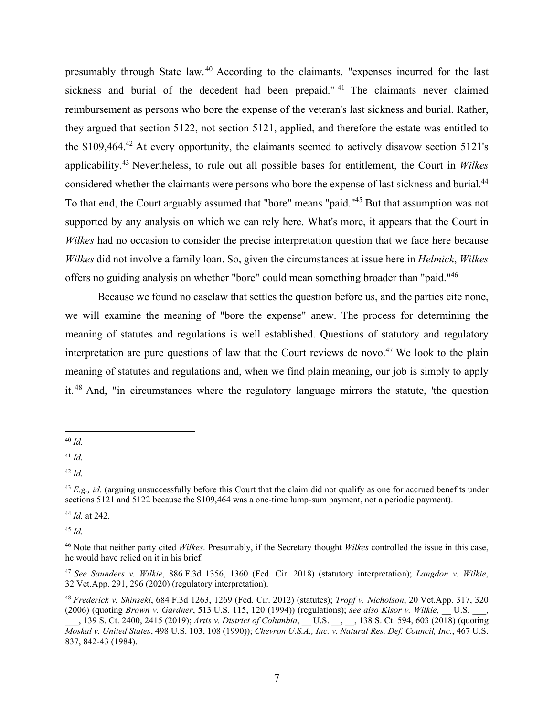presumably through State law. 40 According to the claimants, "expenses incurred for the last sickness and burial of the decedent had been prepaid."<sup>41</sup> The claimants never claimed reimbursement as persons who bore the expense of the veteran's last sickness and burial. Rather, they argued that section 5122, not section 5121, applied, and therefore the estate was entitled to the  $$109,464<sup>42</sup>$  At every opportunity, the claimants seemed to actively disavow section  $5121$ 's applicability.43 Nevertheless, to rule out all possible bases for entitlement, the Court in *Wilkes* considered whether the claimants were persons who bore the expense of last sickness and burial.<sup>44</sup> To that end, the Court arguably assumed that "bore" means "paid."45 But that assumption was not supported by any analysis on which we can rely here. What's more, it appears that the Court in *Wilkes* had no occasion to consider the precise interpretation question that we face here because *Wilkes* did not involve a family loan. So, given the circumstances at issue here in *Helmick*, *Wilkes* offers no guiding analysis on whether "bore" could mean something broader than "paid."46

Because we found no caselaw that settles the question before us, and the parties cite none, we will examine the meaning of "bore the expense" anew. The process for determining the meaning of statutes and regulations is well established. Questions of statutory and regulatory interpretation are pure questions of law that the Court reviews de novo.<sup>47</sup> We look to the plain meaning of statutes and regulations and, when we find plain meaning, our job is simply to apply it. 48 And, "in circumstances where the regulatory language mirrors the statute, 'the question

<sup>44</sup> *Id.* at 242.

<sup>45</sup> *Id.*

<sup>40</sup> *Id.* 

 $41$  *Id.* 

 $42$  *Id.* 

<sup>43</sup> *E.g., id.* (arguing unsuccessfully before this Court that the claim did not qualify as one for accrued benefits under sections 5121 and 5122 because the \$109,464 was a one-time lump-sum payment, not a periodic payment).

<sup>46</sup> Note that neither party cited *Wilkes*. Presumably, if the Secretary thought *Wilkes* controlled the issue in this case, he would have relied on it in his brief.

<sup>47</sup> *See Saunders v. Wilkie*, 886 F.3d 1356, 1360 (Fed. Cir. 2018) (statutory interpretation); *Langdon v. Wilkie*, 32 Vet.App. 291, 296 (2020) (regulatory interpretation).

<sup>48</sup> *Frederick v. Shinseki*, 684 F.3d 1263, 1269 (Fed. Cir. 2012) (statutes); *Tropf v. Nicholson*, 20 Vet.App. 317, 320 (2006) (quoting *Brown v. Gardner*, 513 U.S. 115, 120 (1994)) (regulations); *see also Kisor v. Wilkie*, \_\_ U.S. \_\_\_, \_\_\_, 139 S. Ct. 2400, 2415 (2019); *Artis v. District of Columbia*, \_\_ U.S. \_\_, \_\_, 138 S. Ct. 594, 603 (2018) (quoting *Moskal v. United States*, 498 U.S. 103, 108 (1990)); *Chevron U.S.A., Inc. v. Natural Res. Def. Council, Inc.*, 467 U.S. 837, 842-43 (1984).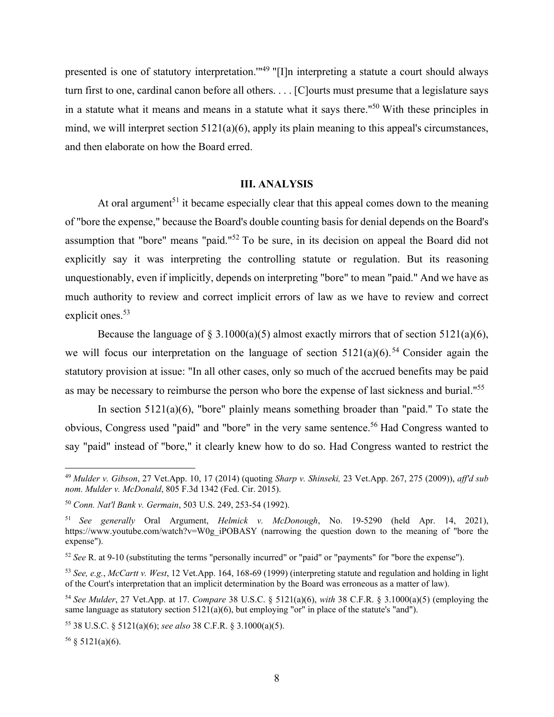presented is one of statutory interpretation.'"49 "[I]n interpreting a statute a court should always turn first to one, cardinal canon before all others. . . . [C]ourts must presume that a legislature says in a statute what it means and means in a statute what it says there."50 With these principles in mind, we will interpret section 5121(a)(6), apply its plain meaning to this appeal's circumstances, and then elaborate on how the Board erred.

## **III. ANALYSIS**

At oral argument<sup>51</sup> it became especially clear that this appeal comes down to the meaning of "bore the expense," because the Board's double counting basis for denial depends on the Board's assumption that "bore" means "paid."52 To be sure, in its decision on appeal the Board did not explicitly say it was interpreting the controlling statute or regulation. But its reasoning unquestionably, even if implicitly, depends on interpreting "bore" to mean "paid." And we have as much authority to review and correct implicit errors of law as we have to review and correct explicit ones.<sup>53</sup>

Because the language of § 3.1000(a)(5) almost exactly mirrors that of section 5121(a)(6). we will focus our interpretation on the language of section  $5121(a)(6)$ .<sup>54</sup> Consider again the statutory provision at issue: "In all other cases, only so much of the accrued benefits may be paid as may be necessary to reimburse the person who bore the expense of last sickness and burial."55

In section  $5121(a)(6)$ , "bore" plainly means something broader than "paid." To state the obvious, Congress used "paid" and "bore" in the very same sentence.<sup>56</sup> Had Congress wanted to say "paid" instead of "bore," it clearly knew how to do so. Had Congress wanted to restrict the

<sup>49</sup> *Mulder v. Gibson*, 27 Vet.App. 10, 17 (2014) (quoting *Sharp v. Shinseki,* 23 Vet.App. 267, 275 (2009)), *aff'd sub nom. Mulder v. McDonald*, 805 F.3d 1342 (Fed. Cir. 2015).

<sup>50</sup> *Conn. Nat'l Bank v. Germain*, 503 U.S. 249, 253-54 (1992).

<sup>51</sup> *See generally* Oral Argument, *Helmick v. McDonough*, No. 19-5290 (held Apr. 14, 2021), https://www.youtube.com/watch?v=W0g\_iPOBASY (narrowing the question down to the meaning of "bore the expense").

<sup>52</sup> *See* R. at 9-10 (substituting the terms "personally incurred" or "paid" or "payments" for "bore the expense").

<sup>53</sup> *See, e.g.*, *McCartt v. West*, 12 Vet.App. 164, 168-69 (1999) (interpreting statute and regulation and holding in light of the Court's interpretation that an implicit determination by the Board was erroneous as a matter of law).

<sup>54</sup> *See Mulder*, 27 Vet.App. at 17. *Compare* 38 U.S.C. § 5121(a)(6), *with* 38 C.F.R. § 3.1000(a)(5) (employing the same language as statutory section  $5121(a)(6)$ , but employing "or" in place of the statute's "and").

<sup>55 38</sup> U.S.C. § 5121(a)(6); *see also* 38 C.F.R. § 3.1000(a)(5).

 $56 \S 5121(a)(6)$ .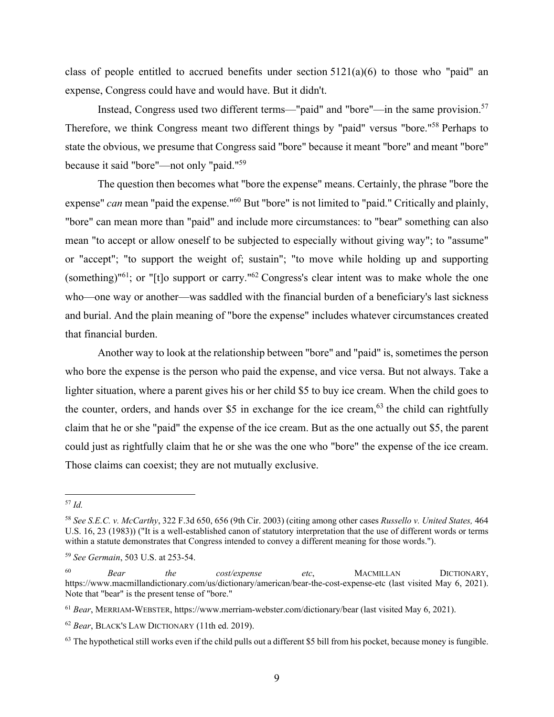class of people entitled to accrued benefits under section  $5121(a)(6)$  to those who "paid" an expense, Congress could have and would have. But it didn't.

Instead, Congress used two different terms—"paid" and "bore"—in the same provision.<sup>57</sup> Therefore, we think Congress meant two different things by "paid" versus "bore."58 Perhaps to state the obvious, we presume that Congress said "bore" because it meant "bore" and meant "bore" because it said "bore"—not only "paid."59

The question then becomes what "bore the expense" means. Certainly, the phrase "bore the expense" *can* mean "paid the expense."60 But "bore" is not limited to "paid." Critically and plainly, "bore" can mean more than "paid" and include more circumstances: to "bear" something can also mean "to accept or allow oneself to be subjected to especially without giving way"; to "assume" or "accept"; "to support the weight of; sustain"; "to move while holding up and supporting (something)"61; or "[t]o support or carry."62 Congress's clear intent was to make whole the one who—one way or another—was saddled with the financial burden of a beneficiary's last sickness and burial. And the plain meaning of "bore the expense" includes whatever circumstances created that financial burden.

Another way to look at the relationship between "bore" and "paid" is, sometimes the person who bore the expense is the person who paid the expense, and vice versa. But not always. Take a lighter situation, where a parent gives his or her child \$5 to buy ice cream. When the child goes to the counter, orders, and hands over \$5 in exchange for the ice cream,  $63$  the child can rightfully claim that he or she "paid" the expense of the ice cream. But as the one actually out \$5, the parent could just as rightfully claim that he or she was the one who "bore" the expense of the ice cream. Those claims can coexist; they are not mutually exclusive.

<sup>57</sup> *Id.* 

<sup>58</sup> *See S.E.C. v. McCarthy*, 322 F.3d 650, 656 (9th Cir. 2003) (citing among other cases *Russello v. United States,* 464 U.S. 16, 23 (1983)) ("It is a well-established canon of statutory interpretation that the use of different words or terms within a statute demonstrates that Congress intended to convey a different meaning for those words.").

<sup>59</sup> *See Germain*, 503 U.S. at 253-54.

<sup>60</sup> *Bear the cost/expense etc*, MACMILLAN DICTIONARY, https://www.macmillandictionary.com/us/dictionary/american/bear-the-cost-expense-etc (last visited May 6, 2021). Note that "bear" is the present tense of "bore."

<sup>61</sup> *Bear*, MERRIAM-WEBSTER, https://www.merriam-webster.com/dictionary/bear (last visited May 6, 2021).

<sup>62</sup> *Bear*, BLACK'S LAW DICTIONARY (11th ed. 2019).

 $63$  The hypothetical still works even if the child pulls out a different \$5 bill from his pocket, because money is fungible.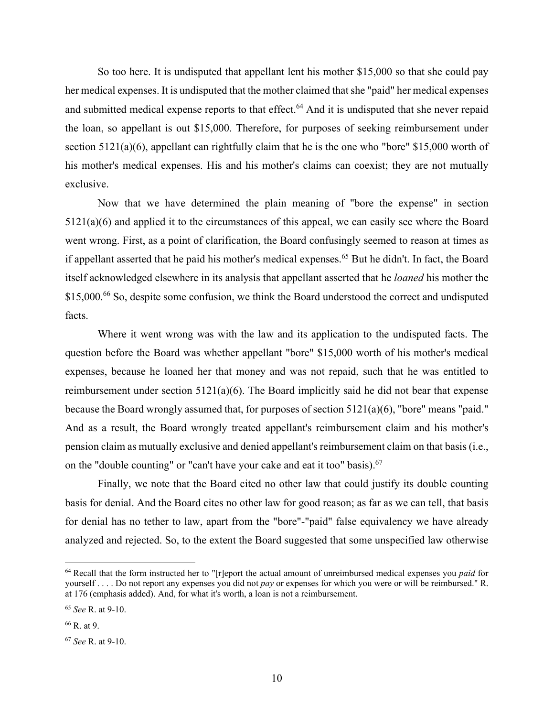So too here. It is undisputed that appellant lent his mother \$15,000 so that she could pay her medical expenses. It is undisputed that the mother claimed that she "paid" her medical expenses and submitted medical expense reports to that effect.<sup>64</sup> And it is undisputed that she never repaid the loan, so appellant is out \$15,000. Therefore, for purposes of seeking reimbursement under section 5121(a)(6), appellant can rightfully claim that he is the one who "bore" \$15,000 worth of his mother's medical expenses. His and his mother's claims can coexist; they are not mutually exclusive.

Now that we have determined the plain meaning of "bore the expense" in section 5121(a)(6) and applied it to the circumstances of this appeal, we can easily see where the Board went wrong. First, as a point of clarification, the Board confusingly seemed to reason at times as if appellant asserted that he paid his mother's medical expenses.<sup>65</sup> But he didn't. In fact, the Board itself acknowledged elsewhere in its analysis that appellant asserted that he *loaned* his mother the \$15,000.<sup>66</sup> So, despite some confusion, we think the Board understood the correct and undisputed facts.

Where it went wrong was with the law and its application to the undisputed facts. The question before the Board was whether appellant "bore" \$15,000 worth of his mother's medical expenses, because he loaned her that money and was not repaid, such that he was entitled to reimbursement under section  $5121(a)(6)$ . The Board implicitly said he did not bear that expense because the Board wrongly assumed that, for purposes of section 5121(a)(6), "bore" means "paid." And as a result, the Board wrongly treated appellant's reimbursement claim and his mother's pension claim as mutually exclusive and denied appellant's reimbursement claim on that basis (i.e., on the "double counting" or "can't have your cake and eat it too" basis).<sup>67</sup>

Finally, we note that the Board cited no other law that could justify its double counting basis for denial. And the Board cites no other law for good reason; as far as we can tell, that basis for denial has no tether to law, apart from the "bore"-"paid" false equivalency we have already analyzed and rejected. So, to the extent the Board suggested that some unspecified law otherwise

<sup>64</sup> Recall that the form instructed her to "[r]eport the actual amount of unreimbursed medical expenses you *paid* for yourself . . . . Do not report any expenses you did not *pay* or expenses for which you were or will be reimbursed." R. at 176 (emphasis added). And, for what it's worth, a loan is not a reimbursement.

<sup>65</sup> *See* R. at 9-10.

<sup>66</sup> R. at 9.

<sup>67</sup> *See* R. at 9-10.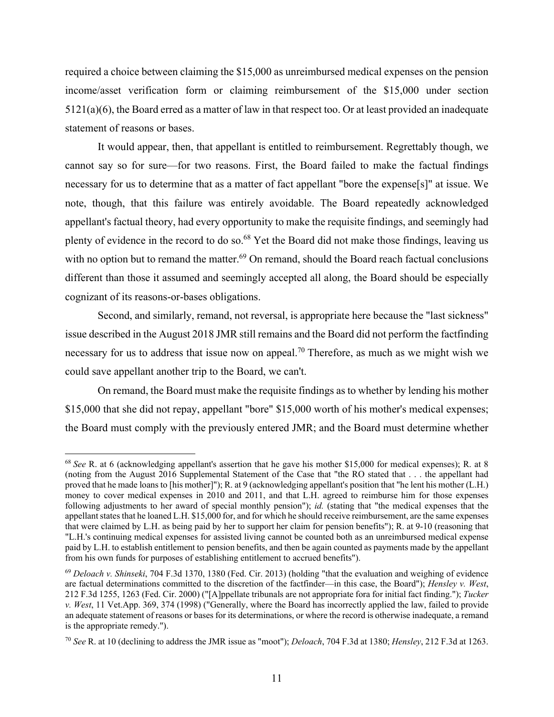required a choice between claiming the \$15,000 as unreimbursed medical expenses on the pension income/asset verification form or claiming reimbursement of the \$15,000 under section 5121(a)(6), the Board erred as a matter of law in that respect too. Or at least provided an inadequate statement of reasons or bases.

It would appear, then, that appellant is entitled to reimbursement. Regrettably though, we cannot say so for sure—for two reasons. First, the Board failed to make the factual findings necessary for us to determine that as a matter of fact appellant "bore the expense[s]" at issue. We note, though, that this failure was entirely avoidable. The Board repeatedly acknowledged appellant's factual theory, had every opportunity to make the requisite findings, and seemingly had plenty of evidence in the record to do so.68 Yet the Board did not make those findings, leaving us with no option but to remand the matter.<sup>69</sup> On remand, should the Board reach factual conclusions different than those it assumed and seemingly accepted all along, the Board should be especially cognizant of its reasons-or-bases obligations.

Second, and similarly, remand, not reversal, is appropriate here because the "last sickness" issue described in the August 2018 JMR still remains and the Board did not perform the factfinding necessary for us to address that issue now on appeal.<sup>70</sup> Therefore, as much as we might wish we could save appellant another trip to the Board, we can't.

On remand, the Board must make the requisite findings as to whether by lending his mother \$15,000 that she did not repay, appellant "bore" \$15,000 worth of his mother's medical expenses; the Board must comply with the previously entered JMR; and the Board must determine whether

<sup>68</sup> *See* R. at 6 (acknowledging appellant's assertion that he gave his mother \$15,000 for medical expenses); R. at 8 (noting from the August 2016 Supplemental Statement of the Case that "the RO stated that . . . the appellant had proved that he made loans to [his mother]"); R. at 9 (acknowledging appellant's position that "he lent his mother (L.H.) money to cover medical expenses in 2010 and 2011, and that L.H. agreed to reimburse him for those expenses following adjustments to her award of special monthly pension"); *id.* (stating that "the medical expenses that the appellant states that he loaned L.H. \$15,000 for, and for which he should receive reimbursement, are the same expenses that were claimed by L.H. as being paid by her to support her claim for pension benefits"); R. at 9-10 (reasoning that "L.H.'s continuing medical expenses for assisted living cannot be counted both as an unreimbursed medical expense paid by L.H. to establish entitlement to pension benefits, and then be again counted as payments made by the appellant from his own funds for purposes of establishing entitlement to accrued benefits").

<sup>69</sup> *Deloach v. Shinseki*, 704 F.3d 1370, 1380 (Fed. Cir. 2013) (holding "that the evaluation and weighing of evidence are factual determinations committed to the discretion of the factfinder—in this case, the Board"); *Hensley v. West*, 212 F.3d 1255, 1263 (Fed. Cir. 2000) ("[A]ppellate tribunals are not appropriate fora for initial fact finding."); *Tucker v. West*, 11 Vet.App. 369, 374 (1998) ("Generally, where the Board has incorrectly applied the law, failed to provide an adequate statement of reasons or bases for its determinations, or where the record is otherwise inadequate, a remand is the appropriate remedy.").

<sup>70</sup> *See* R. at 10 (declining to address the JMR issue as "moot"); *Deloach*, 704 F.3d at 1380; *Hensley*, 212 F.3d at 1263.